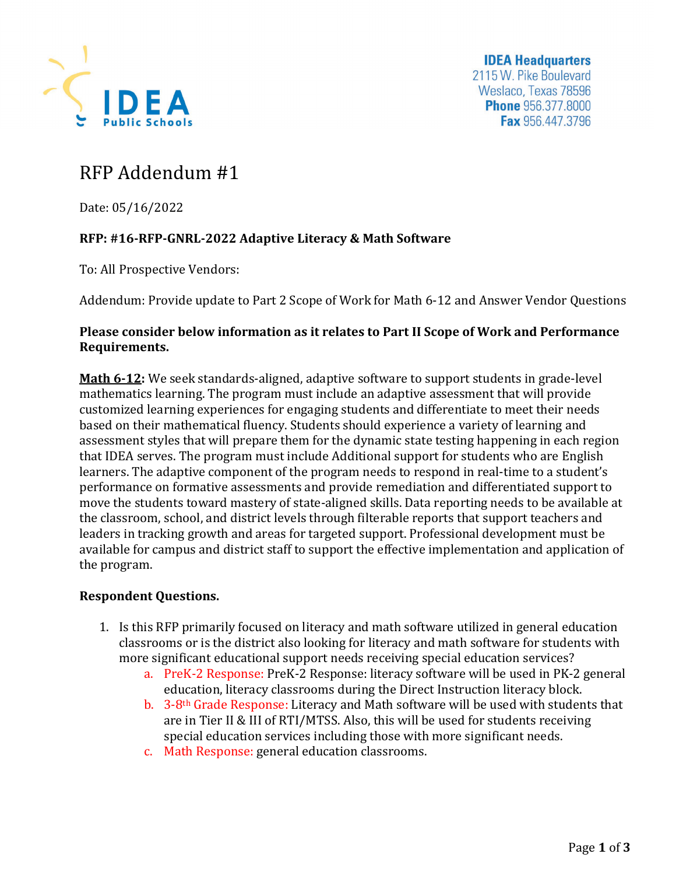

**IDEA Headquarters** 2115 W. Pike Boulevard Weslaco, Texas 78596 **Phone** 956.377.8000 Fax 956.447.3796

## RFP Addendum #1

Date: 05/16/2022

## **RFP: #16-RFP-GNRL-2022 Adaptive Literacy & Math Software**

To: All Prospective Vendors:

Addendum: Provide update to Part 2 Scope of Work for Math 6-12 and Answer Vendor Questions

## **Please consider below information as it relates to Part II Scope of Work and Performance Requirements.**

**Math 6-12:** We seek standards-aligned, adaptive software to support students in grade-level mathematics learning. The program must include an adaptive assessment that will provide customized learning experiences for engaging students and differentiate to meet their needs based on their mathematical fluency. Students should experience a variety of learning and assessment styles that will prepare them for the dynamic state testing happening in each region that IDEA serves. The program must include Additional support for students who are English learners. The adaptive component of the program needs to respond in real-time to a student's performance on formative assessments and provide remediation and differentiated support to move the students toward mastery of state-aligned skills. Data reporting needs to be available at the classroom, school, and district levels through filterable reports that support teachers and leaders in tracking growth and areas for targeted support. Professional development must be available for campus and district staff to support the effective implementation and application of the program.

## **Respondent Questions.**

- 1. Is this RFP primarily focused on literacy and math software utilized in general education classrooms or is the district also looking for literacy and math software for students with more significant educational support needs receiving special education services?
	- a. PreK-2 Response: PreK-2 Response: literacy software will be used in PK-2 general education, literacy classrooms during the Direct Instruction literacy block.
	- b. 3-8th Grade Response: Literacy and Math software will be used with students that are in Tier II & III of RTI/MTSS. Also, this will be used for students receiving special education services including those with more significant needs.
	- c. Math Response: general education classrooms.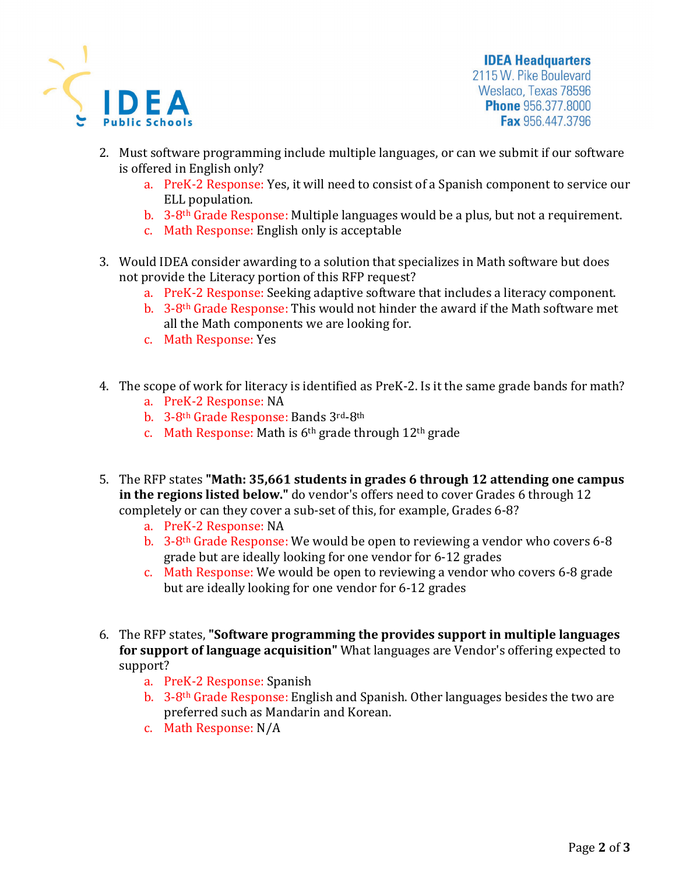

**IDEA Headquarters** 2115 W. Pike Boulevard Weslaco, Texas 78596 **Phone** 956.377.8000 Fax 956.447.3796

- 2. Must software programming include multiple languages, or can we submit if our software is offered in English only?
	- a. PreK-2 Response: Yes, it will need to consist of a Spanish component to service our ELL population.
	- b. 3-8th Grade Response: Multiple languages would be a plus, but not a requirement.
	- c. Math Response: English only is acceptable
- 3. Would IDEA consider awarding to a solution that specializes in Math software but does not provide the Literacy portion of this RFP request?
	- a. PreK-2 Response: Seeking adaptive software that includes a literacy component.
	- b. 3-8th Grade Response: This would not hinder the award if the Math software met all the Math components we are looking for.
	- c. Math Response: Yes
- 4. The scope of work for literacy is identified as PreK-2. Is it the same grade bands for math?
	- a. PreK-2 Response: NA
	- b. 3-8th Grade Response: Bands 3rd-8th
	- c. Math Response: Math is  $6<sup>th</sup>$  grade through  $12<sup>th</sup>$  grade
- 5. The RFP states **"Math: 35,661 students in grades 6 through 12 attending one campus in the regions listed below."** do vendor's offers need to cover Grades 6 through 12 completely or can they cover a sub-set of this, for example, Grades 6-8?
	- a. PreK-2 Response: NA
	- b. 3-8th Grade Response: We would be open to reviewing a vendor who covers 6-8 grade but are ideally looking for one vendor for 6-12 grades
	- c. Math Response: We would be open to reviewing a vendor who covers 6-8 grade but are ideally looking for one vendor for 6-12 grades
- 6. The RFP states, **"Software programming the provides support in multiple languages for support of language acquisition"** What languages are Vendor's offering expected to support?
	- a. PreK-2 Response: Spanish
	- b. 3-8th Grade Response: English and Spanish. Other languages besides the two are preferred such as Mandarin and Korean.
	- c. Math Response: N/A